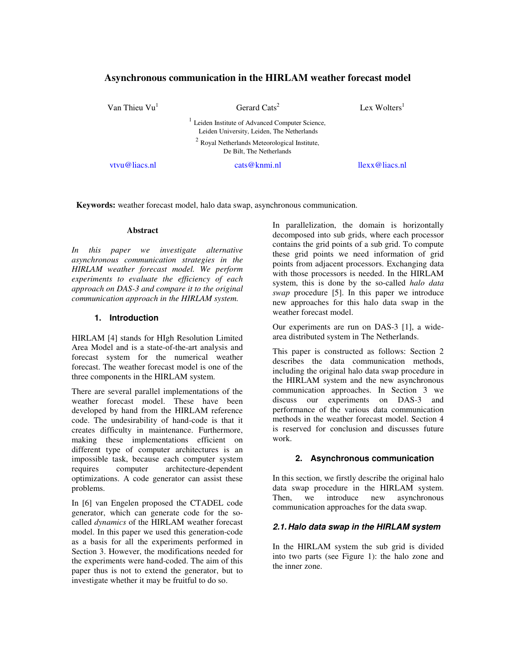# **Asynchronous communication in the HIRLAM weather forecast model**

| Van Thieu Vu <sup>1</sup> | Gerard Cats <sup>2</sup>                                                                                                                                                    | Lex Wolters <sup>1</sup> |  |
|---------------------------|-----------------------------------------------------------------------------------------------------------------------------------------------------------------------------|--------------------------|--|
|                           | Leiden Institute of Advanced Computer Science,<br>Leiden University, Leiden, The Netherlands<br>$2$ Royal Netherlands Meteorological Institute,<br>De Bilt, The Netherlands |                          |  |
| vtvu@liacs.nl             | cats@knmi.nl                                                                                                                                                                | llexx@liacs.nl           |  |

**Keywords:** weather forecast model, halo data swap, asynchronous communication.

#### **Abstract**

*In this paper we investigate alternative asynchronous communication strategies in the HIRLAM weather forecast model. We perform experiments to evaluate the efficiency of each approach on DAS-3 and compare it to the original communication approach in the HIRLAM system.*

## **1. Introduction**

HIRLAM [4] stands for HIgh Resolution Limited Area Model and is a state-of-the-art analysis and forecast system for the numerical weather forecast. The weather forecast model is one of the three components in the HIRLAM system.

There are several parallel implementations of the weather forecast model. These have been developed by hand from the HIRLAM reference code. The undesirability of hand-code is that it creates difficulty in maintenance. Furthermore, making these implementations efficient on different type of computer architectures is an impossible task, because each computer system requires computer architecture-dependent optimizations. A code generator can assist these problems.

In [6] van Engelen proposed the CTADEL code generator, which can generate code for the socalled *dynamics* of the HIRLAM weather forecast model. In this paper we used this generation-code as a basis for all the experiments performed in Section 3. However, the modifications needed for the experiments were hand-coded. The aim of this paper thus is not to extend the generator, but to investigate whether it may be fruitful to do so.

In parallelization, the domain is horizontally decomposed into sub grids, where each processor contains the grid points of a sub grid. To compute these grid points we need information of grid points from adjacent processors. Exchanging data with those processors is needed. In the HIRLAM system, this is done by the so-called *halo data swap* procedure [5]. In this paper we introduce new approaches for this halo data swap in the weather forecast model.

Our experiments are run on DAS-3 [1], a widearea distributed system in The Netherlands.

This paper is constructed as follows: Section 2 describes the data communication methods, including the original halo data swap procedure in the HIRLAM system and the new asynchronous communication approaches. In Section 3 we discuss our experiments on DAS-3 and performance of the various data communication methods in the weather forecast model. Section 4 is reserved for conclusion and discusses future work.

# **2. Asynchronous communication**

In this section, we firstly describe the original halo data swap procedure in the HIRLAM system. Then, we introduce new asynchronous communication approaches for the data swap.

# **2.1. Halo data swap in the HIRLAM system**

In the HIRLAM system the sub grid is divided into two parts (see Figure 1): the halo zone and the inner zone.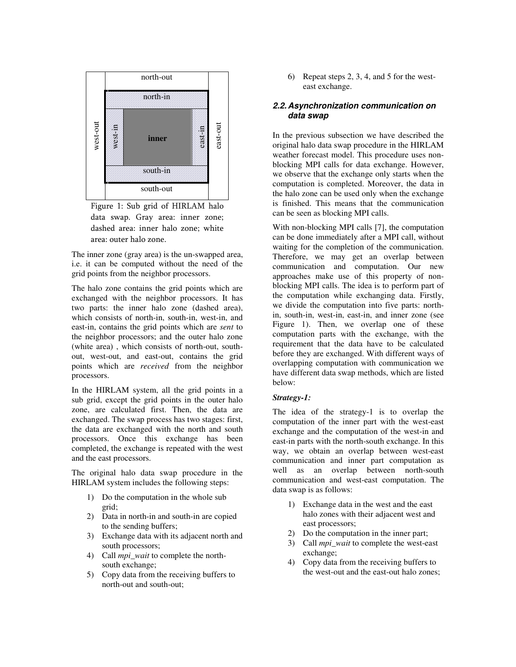

Figure 1: Sub grid of HIRLAM halo data swap. Gray area: inner zone; dashed area: inner halo zone; white area: outer halo zone.

The inner zone (gray area) is the un-swapped area, i.e. it can be computed without the need of the grid points from the neighbor processors.

The halo zone contains the grid points which are exchanged with the neighbor processors. It has two parts: the inner halo zone (dashed area), which consists of north-in, south-in, west-in, and east-in, contains the grid points which are *sent* to the neighbor processors; and the outer halo zone (white area) , which consists of north-out, southout, west-out, and east-out, contains the grid points which are *received* from the neighbor processors.

In the HIRLAM system, all the grid points in a sub grid, except the grid points in the outer halo zone, are calculated first. Then, the data are exchanged. The swap process has two stages: first, the data are exchanged with the north and south processors. Once this exchange has been completed, the exchange is repeated with the west and the east processors.

The original halo data swap procedure in the HIRLAM system includes the following steps:

- 1) Do the computation in the whole sub grid;
- 2) Data in north-in and south-in are copied to the sending buffers;
- 3) Exchange data with its adjacent north and south processors;
- 4) Call *mpi\_wait* to complete the northsouth exchange;
- 5) Copy data from the receiving buffers to north-out and south-out;

6) Repeat steps 2, 3, 4, and 5 for the westeast exchange.

### **2.2. Asynchronization communication on data swap**

In the previous subsection we have described the original halo data swap procedure in the HIRLAM weather forecast model. This procedure uses nonblocking MPI calls for data exchange. However, we observe that the exchange only starts when the computation is completed. Moreover, the data in the halo zone can be used only when the exchange is finished. This means that the communication can be seen as blocking MPI calls.

With non-blocking MPI calls [7], the computation can be done immediately after a MPI call, without waiting for the completion of the communication. Therefore, we may get an overlap between communication and computation. Our new approaches make use of this property of nonblocking MPI calls. The idea is to perform part of the computation while exchanging data. Firstly, we divide the computation into five parts: northin, south-in, west-in, east-in, and inner zone (see Figure 1). Then, we overlap one of these computation parts with the exchange, with the requirement that the data have to be calculated before they are exchanged. With different ways of overlapping computation with communication we have different data swap methods, which are listed below:

#### *Strategy-1:*

The idea of the strategy-1 is to overlap the computation of the inner part with the west-east exchange and the computation of the west-in and east-in parts with the north-south exchange. In this way, we obtain an overlap between west-east communication and inner part computation as well as an overlap between north-south communication and west-east computation. The data swap is as follows:

- 1) Exchange data in the west and the east halo zones with their adjacent west and east processors;
- 2) Do the computation in the inner part;
- 3) Call *mpi\_wait* to complete the west-east exchange;
- 4) Copy data from the receiving buffers to the west-out and the east-out halo zones;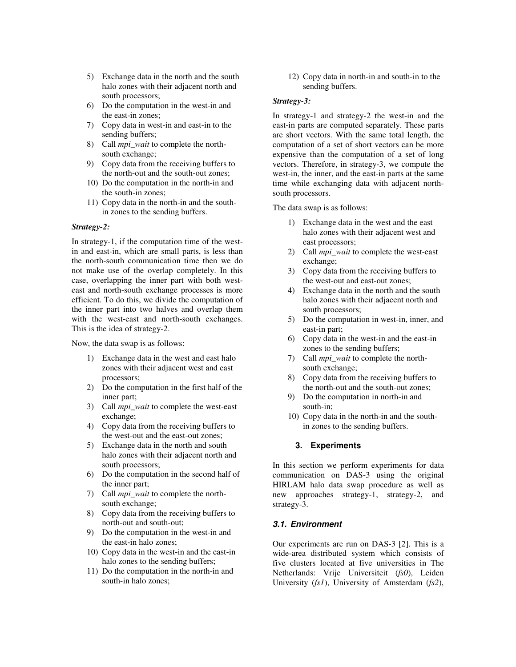- 5) Exchange data in the north and the south halo zones with their adjacent north and south processors;
- 6) Do the computation in the west-in and the east-in zones;
- 7) Copy data in west-in and east-in to the sending buffers;
- 8) Call *mpi\_wait* to complete the northsouth exchange;
- 9) Copy data from the receiving buffers to the north-out and the south-out zones;
- 10) Do the computation in the north-in and the south-in zones;
- 11) Copy data in the north-in and the southin zones to the sending buffers.

#### *Strategy-2:*

In strategy-1, if the computation time of the westin and east-in, which are small parts, is less than the north-south communication time then we do not make use of the overlap completely. In this case, overlapping the inner part with both westeast and north-south exchange processes is more efficient. To do this, we divide the computation of the inner part into two halves and overlap them with the west-east and north-south exchanges. This is the idea of strategy-2.

Now, the data swap is as follows:

- 1) Exchange data in the west and east halo zones with their adjacent west and east processors;
- 2) Do the computation in the first half of the inner part;
- 3) Call *mpi\_wait* to complete the west-east exchange;
- 4) Copy data from the receiving buffers to the west-out and the east-out zones;
- 5) Exchange data in the north and south halo zones with their adjacent north and south processors;
- 6) Do the computation in the second half of the inner part;
- 7) Call *mpi\_wait* to complete the northsouth exchange;
- 8) Copy data from the receiving buffers to north-out and south-out;
- 9) Do the computation in the west-in and the east-in halo zones;
- 10) Copy data in the west-in and the east-in halo zones to the sending buffers;
- 11) Do the computation in the north-in and south-in halo zones;

12) Copy data in north-in and south-in to the sending buffers.

#### *Strategy-3:*

In strategy-1 and strategy-2 the west-in and the east-in parts are computed separately. These parts are short vectors. With the same total length, the computation of a set of short vectors can be more expensive than the computation of a set of long vectors. Therefore, in strategy-3, we compute the west-in, the inner, and the east-in parts at the same time while exchanging data with adjacent northsouth processors.

The data swap is as follows:

- 1) Exchange data in the west and the east halo zones with their adjacent west and east processors;
- 2) Call *mpi\_wait* to complete the west-east exchange;
- 3) Copy data from the receiving buffers to the west-out and east-out zones;
- 4) Exchange data in the north and the south halo zones with their adjacent north and south processors;
- 5) Do the computation in west-in, inner, and east-in part;
- 6) Copy data in the west-in and the east-in zones to the sending buffers;
- 7) Call *mpi\_wait* to complete the northsouth exchange;
- 8) Copy data from the receiving buffers to the north-out and the south-out zones;
- 9) Do the computation in north-in and south-in;
- 10) Copy data in the north-in and the southin zones to the sending buffers.

#### **3. Experiments**

In this section we perform experiments for data communication on DAS-3 using the original HIRLAM halo data swap procedure as well as new approaches strategy-1, strategy-2, and strategy-3.

### **3.1. Environment**

Our experiments are run on DAS-3 [2]. This is a wide-area distributed system which consists of five clusters located at five universities in The Netherlands: Vrije Universiteit (*fs0*), Leiden University (*fs1*), University of Amsterdam (*fs2*),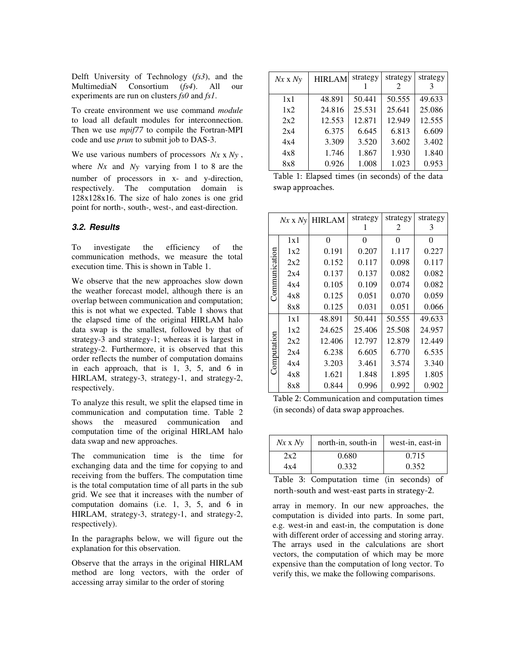Delft University of Technology (*fs3*), and the MultimediaN Consortium (*fs4*). All our experiments are run on clusters *fs0* and *fs1*.

To create environment we use command *module* to load all default modules for interconnection. Then we use *mpif77* to compile the Fortran-MPI code and use *prun* to submit job to DAS-3.

We use various numbers of processors  $Nx \times Ny$ , where *Nx* and *Ny* varying from 1 to 8 are the number of processors in x- and y-direction, respectively. The computation domain is 128x128x16. The size of halo zones is one grid point for north-, south-, west-, and east-direction.

#### **3.2. Results**

To investigate the efficiency of the communication methods, we measure the total execution time. This is shown in Table 1.

We observe that the new approaches slow down the weather forecast model, although there is an overlap between communication and computation; this is not what we expected. Table 1 shows that the elapsed time of the original HIRLAM halo data swap is the smallest, followed by that of strategy-3 and strategy-1; whereas it is largest in strategy-2. Furthermore, it is observed that this order reflects the number of computation domains in each approach, that is 1, 3, 5, and 6 in HIRLAM, strategy-3, strategy-1, and strategy-2, respectively.

To analyze this result, we split the elapsed time in communication and computation time. Table 2 shows the measured communication and computation time of the original HIRLAM halo data swap and new approaches.

The communication time is the time for exchanging data and the time for copying to and receiving from the buffers. The computation time is the total computation time of all parts in the sub grid. We see that it increases with the number of computation domains (i.e. 1, 3, 5, and 6 in HIRLAM, strategy-3, strategy-1, and strategy-2, respectively).

In the paragraphs below, we will figure out the explanation for this observation.

Observe that the arrays in the original HIRLAM method are long vectors, with the order of accessing array similar to the order of storing

| $Nx \times Ny$ | <b>HIRLAM</b> | strategy | strategy<br>2 | strategy |
|----------------|---------------|----------|---------------|----------|
| 1x1            | 48.891        | 50.441   | 50.555        | 49.633   |
| 1x2            | 24.816        | 25.531   | 25.641        | 25.086   |
| 2x2            | 12.553        | 12.871   | 12.949        | 12.555   |
| 2x4            | 6.375         | 6.645    | 6.813         | 6.609    |
| 4x4            | 3.309         | 3.520    | 3.602         | 3.402    |
| 4x8            | 1.746         | 1.867    | 1.930         | 1.840    |
| 8x8            | 0.926         | 1.008    | 1.023         | 0.953    |

Table 1: Elapsed times (in seconds) of the data swap approaches.

|               | $Nx \times Ny$ | <b>HIRLAM</b> | strategy | strategy | strategy |
|---------------|----------------|---------------|----------|----------|----------|
|               |                |               |          | 2        | 3        |
|               | 1x1            | 0             | $\theta$ | 0        | $\theta$ |
| Communication | 1x2            | 0.191         | 0.207    | 1.117    | 0.227    |
|               | 2x2            | 0.152         | 0.117    | 0.098    | 0.117    |
|               | 2x4            | 0.137         | 0.137    | 0.082    | 0.082    |
|               | 4x4            | 0.105         | 0.109    | 0.074    | 0.082    |
|               | 4x8            | 0.125         | 0.051    | 0.070    | 0.059    |
|               | 8x8            | 0.125         | 0.031    | 0.051    | 0.066    |
|               | 1x1            | 48.891        | 50.441   | 50.555   | 49.633   |
| Computation   | 1x2            | 24.625        | 25.406   | 25.508   | 24.957   |
|               | 2x2            | 12.406        | 12.797   | 12.879   | 12.449   |
|               | 2x4            | 6.238         | 6.605    | 6.770    | 6.535    |
|               | 4x4            | 3.203         | 3.461    | 3.574    | 3.340    |
|               | 4x8            | 1.621         | 1.848    | 1.895    | 1.805    |
|               | 8x8            | 0.844         | 0.996    | 0.992    | 0.902    |

Table 2: Communication and computation times (in seconds) of data swap approaches.

| $Nx \times Ny$ | north-in, south-in | west-in, east-in |
|----------------|--------------------|------------------|
| 2x2            | 0.680              | 0.715            |
| 4x4            | 0.332              | 0.352            |

Table 3: Computation time (in seconds) of north-south and west-east parts in strategy-2.

array in memory. In our new approaches, the computation is divided into parts. In some part, e.g. west-in and east-in, the computation is done with different order of accessing and storing array. The arrays used in the calculations are short vectors, the computation of which may be more expensive than the computation of long vector. To verify this, we make the following comparisons.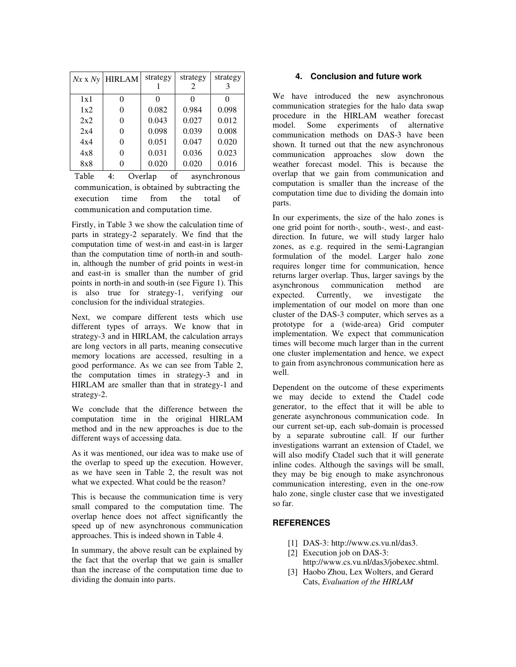|     | $Nx$ x $Ny$ HIRLAM | strategy | strategy<br>2 | strategy |
|-----|--------------------|----------|---------------|----------|
| 1x1 |                    |          |               |          |
| 1x2 | 0                  | 0.082    | 0.984         | 0.098    |
| 2x2 | 0                  | 0.043    | 0.027         | 0.012    |
| 2x4 | 0                  | 0.098    | 0.039         | 0.008    |
| 4x4 | 0                  | 0.051    | 0.047         | 0.020    |
| 4x8 | 0                  | 0.031    | 0.036         | 0.023    |
| 8x8 |                    | 0.020    | 0.020         | 0.016    |

Table 4: Overlap of asynchronous communication, is obtained by subtracting the execution time from the total of communication and computation time.

Firstly, in Table 3 we show the calculation time of parts in strategy-2 separately. We find that the computation time of west-in and east-in is larger than the computation time of north-in and southin, although the number of grid points in west-in and east-in is smaller than the number of grid points in north-in and south-in (see Figure 1). This is also true for strategy-1, verifying our conclusion for the individual strategies.

Next, we compare different tests which use different types of arrays. We know that in strategy-3 and in HIRLAM, the calculation arrays are long vectors in all parts, meaning consecutive memory locations are accessed, resulting in a good performance. As we can see from Table 2, the computation times in strategy-3 and in HIRLAM are smaller than that in strategy-1 and strategy-2.

We conclude that the difference between the computation time in the original HIRLAM method and in the new approaches is due to the different ways of accessing data.

As it was mentioned, our idea was to make use of the overlap to speed up the execution. However, as we have seen in Table 2, the result was not what we expected. What could be the reason?

This is because the communication time is very small compared to the computation time. The overlap hence does not affect significantly the speed up of new asynchronous communication approaches. This is indeed shown in Table 4.

In summary, the above result can be explained by the fact that the overlap that we gain is smaller than the increase of the computation time due to dividing the domain into parts.

## **4. Conclusion and future work**

We have introduced the new asynchronous communication strategies for the halo data swap procedure in the HIRLAM weather forecast model. Some experiments of alternative communication methods on DAS-3 have been shown. It turned out that the new asynchronous communication approaches slow down the weather forecast model. This is because the overlap that we gain from communication and computation is smaller than the increase of the computation time due to dividing the domain into parts.

In our experiments, the size of the halo zones is one grid point for north-, south-, west-, and eastdirection. In future, we will study larger halo zones, as e.g. required in the semi-Lagrangian formulation of the model. Larger halo zone requires longer time for communication, hence returns larger overlap. Thus, larger savings by the asynchronous communication method are expected. Currently, we investigate the implementation of our model on more than one cluster of the DAS-3 computer, which serves as a prototype for a (wide-area) Grid computer implementation. We expect that communication times will become much larger than in the current one cluster implementation and hence, we expect to gain from asynchronous communication here as well.

Dependent on the outcome of these experiments we may decide to extend the Ctadel code generator, to the effect that it will be able to generate asynchronous communication code. In our current set-up, each sub-domain is processed by a separate subroutine call. If our further investigations warrant an extension of Ctadel, we will also modify Ctadel such that it will generate inline codes. Although the savings will be small, they may be big enough to make asynchronous communication interesting, even in the one-row halo zone, single cluster case that we investigated so far.

### **REFERENCES**

- [1] DAS-3: http://www.cs.vu.nl/das3.
- [2] Execution job on DAS-3: http://www.cs.vu.nl/das3/jobexec.shtml.
- [3] Haobo Zhou, Lex Wolters, and Gerard Cats, *Evaluation of the HIRLAM*